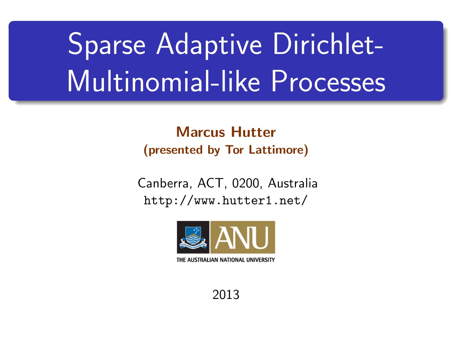# Sparse Adaptive Dirichlet-Multinomial-like Processes

Marcus Hutter (presented by Tor Lattimore)

Canberra, ACT, 0200, Australia http://www.hutter1.net/



<span id="page-0-0"></span>THE AUSTRALIAN NATIONAL UNIVERSITY

2013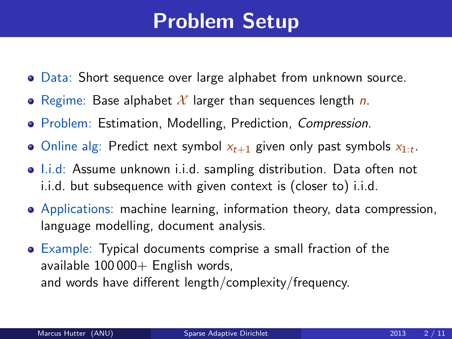#### Problem Setup

- Data: Short sequence over large alphabet from unknown source.
- Regime: Base alphabet  $\mathcal X$  larger than sequences length n.
- Problem: Estimation, Modelling, Prediction, Compression.
- Online alg: Predict next symbol  $x_{t+1}$  given only past symbols  $x_{1:t}$ .
- Li.d: Assume unknown i.i.d. sampling distribution. Data often not i.i.d. but subsequence with given context is (closer to) i.i.d.
- Applications: machine learning, information theory, data compression, language modelling, document analysis.
- Example: Typical documents comprise a small fraction of the available  $100\,000+$  English words, and words have different length/complexity/frequency.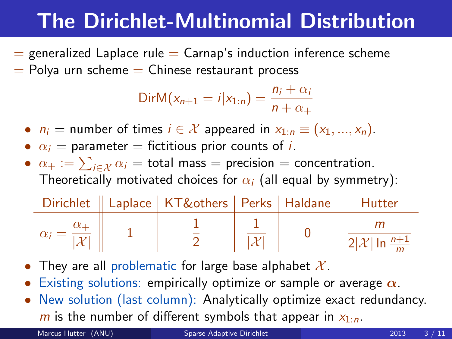# The Dirichlet-Multinomial Distribution

 $=$  generalized Laplace rule  $=$  Carnap's induction inference scheme  $=$  Polya urn scheme  $=$  Chinese restaurant process

$$
DirM(x_{n+1} = i | x_{1:n}) = \frac{n_i + \alpha_i}{n + \alpha_+}
$$

- $n_i$  = number of times  $i \in \mathcal{X}$  appeared in  $x_{1:n} \equiv (x_1, ..., x_n)$ .
- $\alpha_i$  = parameter = fictitious prior counts of *i*.
- $\alpha_+ := \sum_{i \in \mathcal{X}} \alpha_i = \text{total mass} = \text{precision} = \text{concentration}.$ Theoretically motivated choices for  $\alpha_i$  (all equal by symmetry):

|  | Dirichlet    Laplace   KT&others   Perks   Haldane    Hutter |  |                                                            |
|--|--------------------------------------------------------------|--|------------------------------------------------------------|
|  |                                                              |  | $\left  \frac{2 \mathcal{X}  \ln \frac{n+1}{m}}{2}\right $ |

- They are all problematic for large base alphabet  $\mathcal{X}$ .
- Existing solutions: empirically optimize or sample or average  $\alpha$ .
- New solution (last column): Analytically optimize exact redundancy.  $m$  is the number of different symbols that appear in  $x_1$ .

Marcus Hutter (ANU) [Sparse Adaptive Dirichlet](#page-0-0) 2013 3 / 11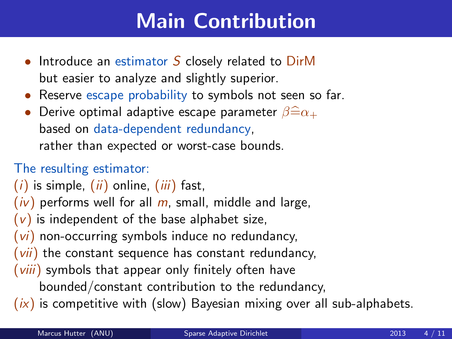## Main Contribution

- Introduce an estimator  $S$  closely related to  $DirM$ but easier to analyze and slightly superior.
- Reserve escape probability to symbols not seen so far.
- Derive optimal adaptive escape parameter  $\beta \widehat{=} \alpha_+$ based on data-dependent redundancy, rather than expected or worst-case bounds.

#### The resulting estimator:

- $(i)$  is simple,  $(ii)$  online,  $(iii)$  fast,
- $(iv)$  performs well for all m, small, middle and large,
- $(v)$  is independent of the base alphabet size,
- $(vi)$  non-occurring symbols induce no redundancy,
- $(vii)$  the constant sequence has constant redundancy,
- $(viii)$  symbols that appear only finitely often have
	- bounded/constant contribution to the redundancy,
- $(ix)$  is competitive with (slow) Bayesian mixing over all sub-alphabets.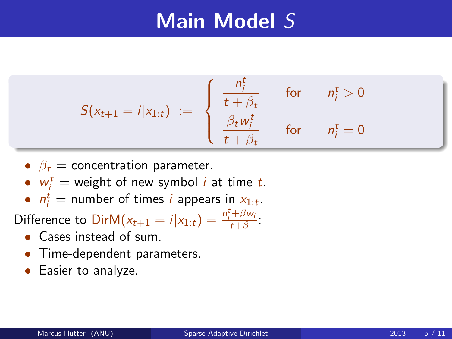### Main Model S

$$
S(x_{t+1} = i | x_{1:t}) := \begin{cases} \frac{n_t^t}{t + \beta_t} & \text{for } n_i^t > 0 \\ \frac{\beta_t w_t^t}{t + \beta_t} & \text{for } n_i^t = 0 \end{cases}
$$

- $\beta_t$  = concentration parameter.
- $w_i^t$  = weight of new symbol *i* at time *t*.
- $n_i^t$  = number of times *i* appears in  $x_{1:t}$ .

Difference to  $\text{DirM}(x_{t+1} = i | x_{1:t}) = \frac{n_t^t + \beta w_i}{t + \beta}$ :

- Cases instead of sum.
- Time-dependent parameters.
- Easier to analyze.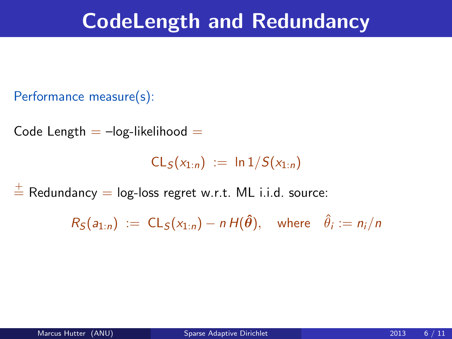### CodeLength and Redundancy

```
Performance measure(s):
```
Code Length  $=$   $-$ log-likelihood  $=$ 

 $CL_S(x_{1:n}) := \ln 1/S(x_{1:n})$ 

 $\frac{1}{n}$  Redundancy = log-loss regret w.r.t. ML i.i.d. source:

 $R_{\mathcal{S}}(a_{1:n}) \; := \; \mathsf{CL}_{\mathcal{S}}(\mathsf{x}_{1:n}) - n \, \mathsf{H}(\hat{\boldsymbol{\theta}}), \quad \text{where} \quad \hat{\theta}_i := n_i / n$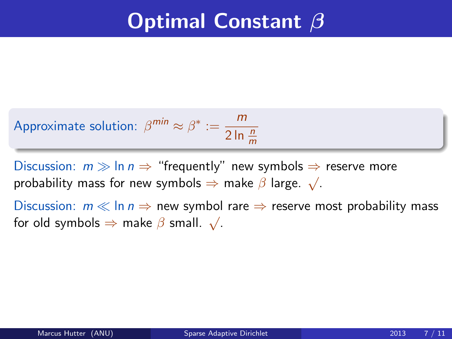## **Optimal Constant β**

Approximate solution: 
$$
\beta^{min} \approx \beta^* := \frac{m}{2 \ln \frac{n}{m}}
$$

Discussion:  $m \gg \ln n \Rightarrow$  "frequently" new symbols  $\Rightarrow$  reserve more probability mass for new symbols  $\Rightarrow$  make  $\beta$  large.  $\sqrt{\ }$ .

Discussion:  $m \ll \ln n \Rightarrow$  new symbol rare  $\Rightarrow$  reserve most probability mass  $\frac{1}{100}$  biscussion.  $m \le m n \Rightarrow$  new symbologies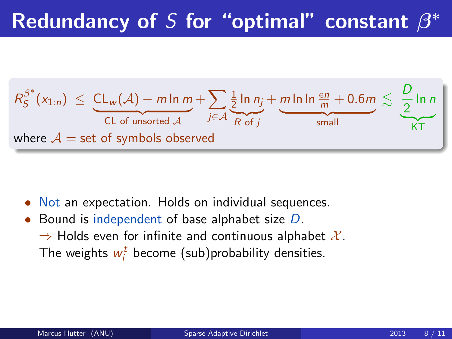# Redundancy of S for "optimal" constant  $\beta^*$



- Not an expectation. Holds on individual sequences.
- Bound is independent of base alphabet size D.  $\Rightarrow$  Holds even for infinite and continuous alphabet  $\mathcal{X}.$ The weights  $w_i^t$  become (sub)probability densities.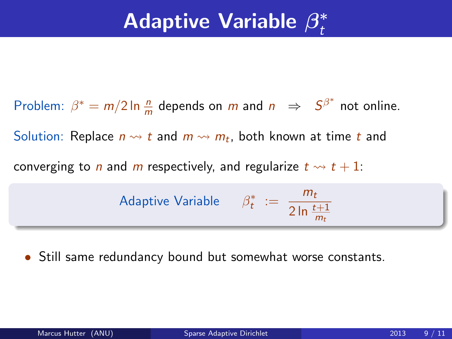#### Adaptive Variable  $\beta_t^*$ t

Problem:  $\beta^* = m/2 \ln \frac{n}{m}$  depends on m and  $n \Rightarrow S^{\beta^*}$  not online. Solution: Replace  $n \rightsquigarrow t$  and  $m \rightsquigarrow m_t$ , both known at time  $t$  and converging to *n* and *m* respectively, and regularize  $t \rightarrow t + 1$ : Adaptive Variable  $\beta_t^* := \frac{m_t}{2 \ln t}$ 2 ln  $\frac{t+1}{m}$  $m_t$ 

Still same redundancy bound but somewhat worse constants.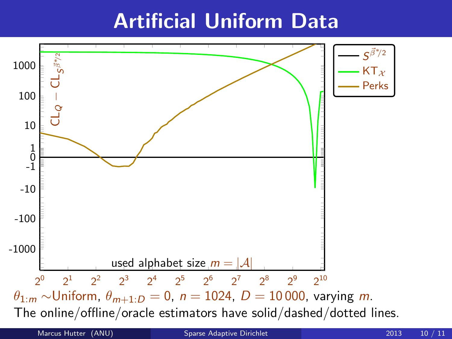### Artificial Uniform Data